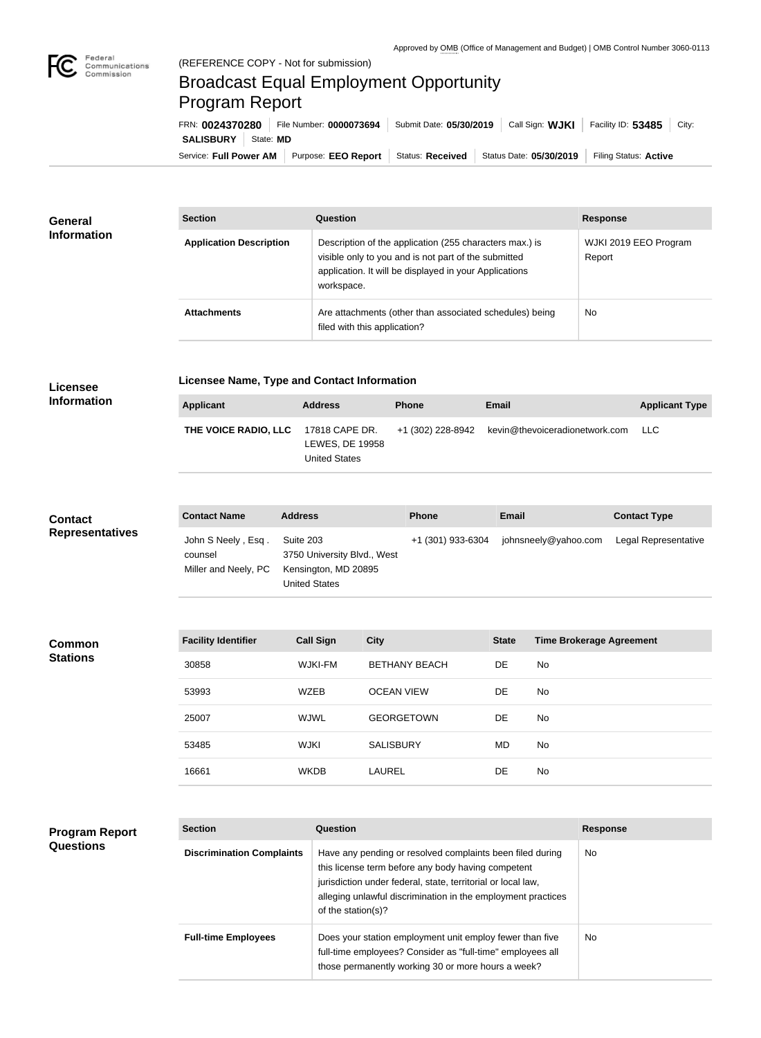

## Broadcast Equal Employment Opportunity Program Report

Service: Full Power AM Purpose: EEO Report | Status: Received | Status Date: 05/30/2019 | Filing Status: Active **SALISBURY** | State: MD FRN: **0024370280** File Number: **0000073694** Submit Date: **05/30/2019** Call Sign: **WJKI** Facility ID: **53485** City:

| <b>General</b><br><b>Information</b> | <b>Section</b>                 | Question                                                                                                                                                                                | <b>Response</b>                 |
|--------------------------------------|--------------------------------|-----------------------------------------------------------------------------------------------------------------------------------------------------------------------------------------|---------------------------------|
|                                      | <b>Application Description</b> | Description of the application (255 characters max.) is<br>visible only to you and is not part of the submitted<br>application. It will be displayed in your Applications<br>workspace. | WJKI 2019 EEO Program<br>Report |
|                                      | <b>Attachments</b>             | Are attachments (other than associated schedules) being<br>filed with this application?                                                                                                 | <b>No</b>                       |

## **Licensee Information**

**Program Report** 

**Questions**

**Common Stations**

**Licensee Name, Type and Contact Information**

| Applicant            | <b>Address</b>                                            | <b>Phone</b> | <b>Email</b>                                     | <b>Applicant Type</b> |
|----------------------|-----------------------------------------------------------|--------------|--------------------------------------------------|-----------------------|
| THE VOICE RADIO. LLC | 17818 CAPE DR.<br>LEWES, DE 19958<br><b>United States</b> |              | +1 (302) 228-8942 kevin@thevoiceradionetwork.com | - LLC                 |

## **Contact Representatives**

n.

| <b>Contact Name</b>                                   | <b>Address</b>                                                                    | <b>Phone</b>      | Email                | <b>Contact Type</b>  |
|-------------------------------------------------------|-----------------------------------------------------------------------------------|-------------------|----------------------|----------------------|
| John S Neely, Esq.<br>counsel<br>Miller and Neely, PC | Suite 203<br>3750 University Blvd., West<br>Kensington, MD 20895<br>United States | +1 (301) 933-6304 | johnsneely@yahoo.com | Legal Representative |

| <b>Facility Identifier</b> | <b>Call Sign</b> | <b>City</b>          | <b>State</b> | <b>Time Brokerage Agreement</b> |
|----------------------------|------------------|----------------------|--------------|---------------------------------|
| 30858                      | WJKI-FM          | <b>BETHANY BEACH</b> | DE.          | No                              |
| 53993                      | <b>WZEB</b>      | <b>OCEAN VIEW</b>    | DE.          | No                              |
| 25007                      | WJWL             | <b>GEORGETOWN</b>    | <b>DE</b>    | No                              |
| 53485                      | <b>WJKI</b>      | <b>SALISBURY</b>     | MD           | No                              |
| 16661                      | <b>WKDB</b>      | <b>LAUREL</b>        | DE           | No                              |

| <b>Section</b>                   | Question                                                                                                                                                                                                                                                              | <b>Response</b> |  |
|----------------------------------|-----------------------------------------------------------------------------------------------------------------------------------------------------------------------------------------------------------------------------------------------------------------------|-----------------|--|
| <b>Discrimination Complaints</b> | Have any pending or resolved complaints been filed during<br>this license term before any body having competent<br>jurisdiction under federal, state, territorial or local law,<br>alleging unlawful discrimination in the employment practices<br>of the station(s)? | No.             |  |
| <b>Full-time Employees</b>       | Does your station employment unit employ fewer than five<br>full-time employees? Consider as "full-time" employees all<br>those permanently working 30 or more hours a week?                                                                                          | No.             |  |